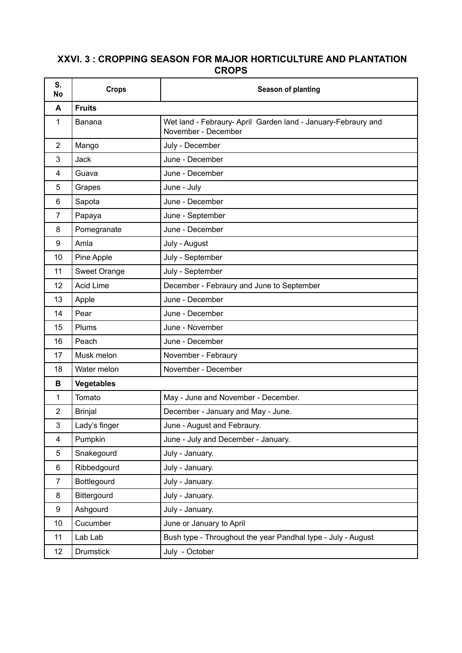## **XXVI. 3 : CROPPING SEASON FOR MAJOR HORTICULTURE AND PLANTATION CROPS**

| S.<br>No       | <b>Crops</b>      | Season of planting                                                                   |  |
|----------------|-------------------|--------------------------------------------------------------------------------------|--|
| A              | <b>Fruits</b>     |                                                                                      |  |
| $\mathbf{1}$   | <b>Banana</b>     | Wet land - Febraury- April Garden land - January-Febraury and<br>November - December |  |
| $\overline{2}$ | Mango             | July - December                                                                      |  |
| 3              | <b>Jack</b>       | June - December                                                                      |  |
| 4              | Guava             | June - December                                                                      |  |
| 5              | Grapes            | June - July                                                                          |  |
| $\,6$          | Sapota            | June - December                                                                      |  |
| 7              | Papaya            | June - September                                                                     |  |
| 8              | Pomegranate       | June - December                                                                      |  |
| 9              | Amla              | July - August                                                                        |  |
| 10             | Pine Apple        | July - September                                                                     |  |
| 11             | Sweet Orange      | July - September                                                                     |  |
| 12             | <b>Acid Lime</b>  | December - Febraury and June to September                                            |  |
| 13             | Apple             | June - December                                                                      |  |
| 14             | Pear              | June - December                                                                      |  |
| 15             | Plums             | June - November                                                                      |  |
| 16             | Peach             | June - December                                                                      |  |
| 17             | Musk melon        | November - Febraury                                                                  |  |
| 18             | Water melon       | November - December                                                                  |  |
| в              | <b>Vegetables</b> |                                                                                      |  |
| 1              | Tomato            | May - June and November - December.                                                  |  |
| $\overline{2}$ | <b>Brinjal</b>    | December - January and May - June.                                                   |  |
| $\mathsf 3$    | Lady's finger     | June - August and Febraury.                                                          |  |
| $\overline{4}$ | Pumpkin           | June - July and December - January.                                                  |  |
| 5              | Snakegourd        | July - January.                                                                      |  |
| 6              | Ribbedgourd       | July - January.                                                                      |  |
| $\overline{7}$ | Bottlegourd       | July - January.                                                                      |  |
| 8              | Bittergourd       | July - January.                                                                      |  |
| 9              | Ashgourd          | July - January.                                                                      |  |
| 10             | Cucumber          | June or January to April                                                             |  |
| 11             | Lab Lab           | Bush type - Throughout the year Pandhal type - July - August                         |  |
| 12             | <b>Drumstick</b>  | July - October                                                                       |  |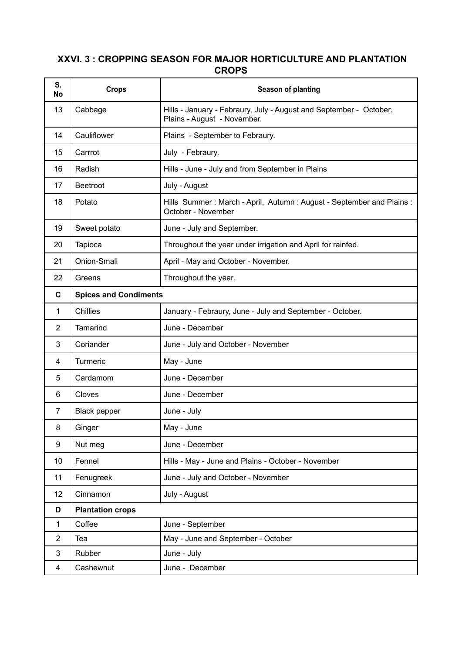## **XXVI. 3 : CROPPING SEASON FOR MAJOR HORTICULTURE AND PLANTATION CROPS**

| S.<br><b>No</b> | <b>Crops</b>                 | Season of planting                                                                                |
|-----------------|------------------------------|---------------------------------------------------------------------------------------------------|
| 13              | Cabbage                      | Hills - January - Febraury, July - August and September - October.<br>Plains - August - November. |
| 14              | Cauliflower                  | Plains - September to Febraury.                                                                   |
| 15              | Carrrot                      | July - Febraury.                                                                                  |
| 16              | Radish                       | Hills - June - July and from September in Plains                                                  |
| 17              | <b>Beetroot</b>              | July - August                                                                                     |
| 18              | Potato                       | Hills Summer: March - April, Autumn: August - September and Plains:<br>October - November         |
| 19              | Sweet potato                 | June - July and September.                                                                        |
| 20              | Tapioca                      | Throughout the year under irrigation and April for rainfed.                                       |
| 21              | Onion-Small                  | April - May and October - November.                                                               |
| 22              | Greens                       | Throughout the year.                                                                              |
| $\mathbf c$     | <b>Spices and Condiments</b> |                                                                                                   |
| 1               | <b>Chillies</b>              | January - Febraury, June - July and September - October.                                          |
| $\overline{2}$  | <b>Tamarind</b>              | June - December                                                                                   |
| 3               | Coriander                    | June - July and October - November                                                                |
| 4               | Turmeric                     | May - June                                                                                        |
| 5               | Cardamom                     | June - December                                                                                   |
| 6               | Cloves                       | June - December                                                                                   |
| 7               | <b>Black pepper</b>          | June - July                                                                                       |
| 8               | Ginger                       | May - June                                                                                        |
| 9               | Nut meg                      | June - December                                                                                   |
| 10              | Fennel                       | Hills - May - June and Plains - October - November                                                |
| 11              | Fenugreek                    | June - July and October - November                                                                |
| 12              | Cinnamon                     | July - August                                                                                     |
| D               | <b>Plantation crops</b>      |                                                                                                   |
| 1               | Coffee                       | June - September                                                                                  |
| $\overline{2}$  | Tea                          | May - June and September - October                                                                |
| 3               | Rubber                       | June - July                                                                                       |
| $\overline{4}$  | Cashewnut                    | June - December                                                                                   |